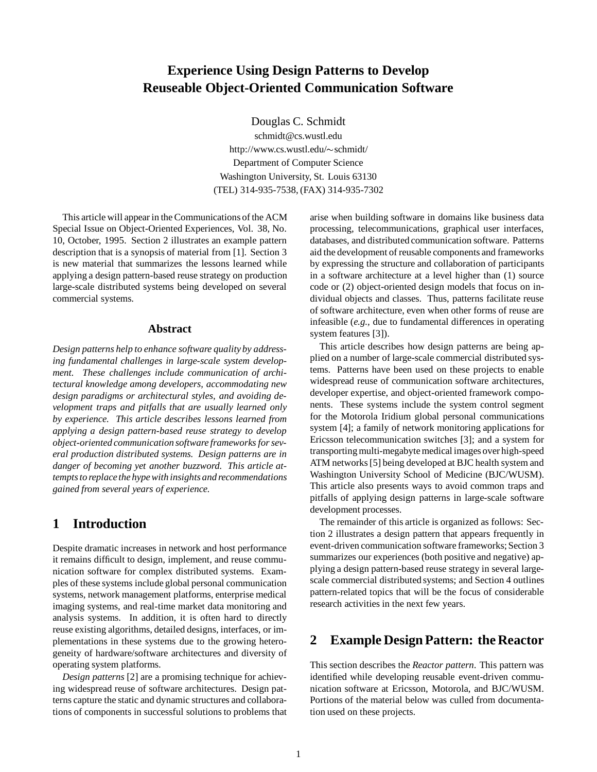# **Experience Using Design Patterns to Develop Reuseable Object-Oriented Communication Software**

Douglas C. Schmidt schmidt@cs.wustl.edu http://www.cs.wustl.edu/~schmidt/ Department of Computer Science Washington University, St. Louis 63130 (TEL) 314-935-7538, (FAX) 314-935-7302

This article will appear in the Communications of the ACM Special Issue on Object-Oriented Experiences, Vol. 38, No. 10, October, 1995. Section 2 illustrates an example pattern description that is a synopsis of material from [1]. Section 3 is new material that summarizes the lessons learned while applying a design pattern-based reuse strategy on production large-scale distributed systems being developed on several commercial systems.

#### **Abstract**

*Design patterns help to enhance software quality by addressing fundamental challenges in large-scale system development. These challenges include communication of architectural knowledge among developers, accommodating new design paradigms or architectural styles, and avoiding development traps and pitfalls that are usually learned only by experience. This article describes lessons learned from applying a design pattern-based reuse strategy to develop object-oriented communication software frameworks for several production distributed systems. Design patterns are in danger of becoming yet another buzzword. This article attempts to replace the hype with insights and recommendations gained from several years of experience.*

# **1 Introduction**

Despite dramatic increases in network and host performance it remains difficult to design, implement, and reuse communication software for complex distributed systems. Examples of these systems include global personal communication systems, network management platforms, enterprise medical imaging systems, and real-time market data monitoring and analysis systems. In addition, it is often hard to directly reuse existing algorithms, detailed designs, interfaces, or implementations in these systems due to the growing heterogeneity of hardware/software architectures and diversity of operating system platforms.

*Design patterns* [2] are a promising technique for achieving widespread reuse of software architectures. Design patterns capture the static and dynamic structures and collaborations of components in successful solutions to problems that

arise when building software in domains like business data processing, telecommunications, graphical user interfaces, databases, and distributed communication software. Patterns aid the development of reusable components and frameworks by expressing the structure and collaboration of participants in a software architecture at a level higher than (1) source code or (2) object-oriented design models that focus on individual objects and classes. Thus, patterns facilitate reuse of software architecture, even when other forms of reuse are infeasible (*e.g.,* due to fundamental differences in operating system features [3]).

This article describes how design patterns are being applied on a number of large-scale commercial distributed systems. Patterns have been used on these projects to enable widespread reuse of communication software architectures, developer expertise, and object-oriented framework components. These systems include the system control segment for the Motorola Iridium global personal communications system [4]; a family of network monitoring applications for Ericsson telecommunication switches [3]; and a system for transporting multi-megabyte medical images over high-speed ATM networks [5] being developed at BJC health system and Washington University School of Medicine (BJC/WUSM). This article also presents ways to avoid common traps and pitfalls of applying design patterns in large-scale software development processes.

The remainder of this article is organized as follows: Section 2 illustrates a design pattern that appears frequently in event-driven communication software frameworks; Section 3 summarizes our experiences (both positive and negative) applying a design pattern-based reuse strategy in several largescale commercial distributed systems; and Section 4 outlines pattern-related topics that will be the focus of considerable research activities in the next few years.

# **2 Example Design Pattern: the Reactor**

This section describes the *Reactor pattern*. This pattern was identified while developing reusable event-driven communication software at Ericsson, Motorola, and BJC/WUSM. Portions of the material below was culled from documentation used on these projects.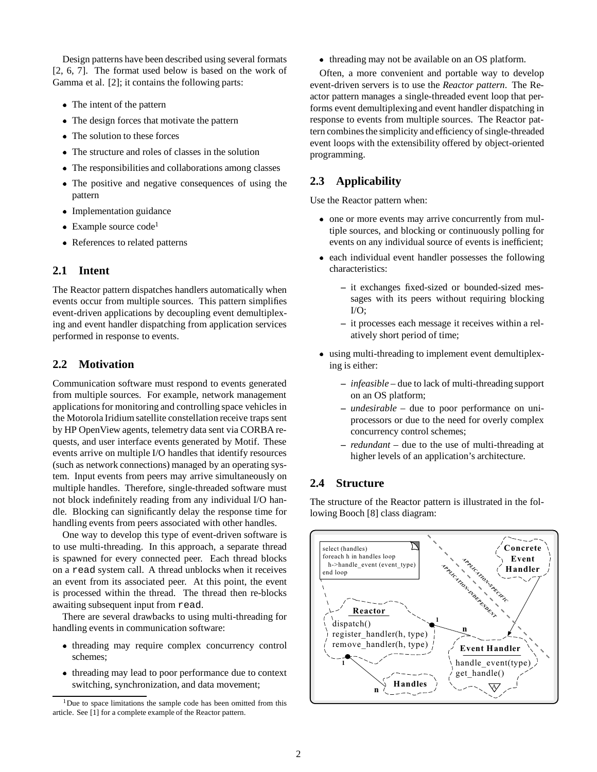Design patterns have been described using several formats [2, 6, 7]. The format used below is based on the work of Gamma et al. [2]; it contains the following parts:

- The intent of the pattern
- The design forces that motivate the pattern
- The solution to these forces
- The structure and roles of classes in the solution
- The responsibilities and collaborations among classes
- The positive and negative consequences of using the pattern
- Implementation guidance
- Example source code<sup>1</sup>
- References to related patterns

#### **2.1 Intent**

The Reactor pattern dispatches handlers automatically when events occur from multiple sources. This pattern simplifies event-driven applications by decoupling event demultiplexing and event handler dispatching from application services performed in response to events.

#### **2.2 Motivation**

Communication software must respond to events generated from multiple sources. For example, network management applications for monitoring and controlling space vehicles in the Motorola Iridium satellite constellation receive traps sent by HP OpenView agents, telemetry data sent via CORBA requests, and user interface events generated by Motif. These events arrive on multiple I/O handles that identify resources (such as network connections) managed by an operating system. Input events from peers may arrive simultaneously on multiple handles. Therefore, single-threaded software must not block indefinitely reading from any individual I/O handle. Blocking can significantly delay the response time for handling events from peers associated with other handles.

One way to develop this type of event-driven software is to use multi-threading. In this approach, a separate thread is spawned for every connected peer. Each thread blocks on a read system call. A thread unblocks when it receives an event from its associated peer. At this point, the event is processed within the thread. The thread then re-blocks awaiting subsequent input from read.

There are several drawbacks to using multi-threading for handling events in communication software:

- threading may require complex concurrency control schemes;
- threading may lead to poor performance due to context switching, synchronization, and data movement;

threading may not be available on an OS platform.

Often, a more convenient and portable way to develop event-driven servers is to use the *Reactor pattern*. The Reactor pattern manages a single-threaded event loop that performs event demultiplexing and event handler dispatching in response to events from multiple sources. The Reactor pattern combines the simplicity and efficiency of single-threaded event loops with the extensibility offered by object-oriented programming.

#### **2.3 Applicability**

Use the Reactor pattern when:

- one or more events may arrive concurrently from multiple sources, and blocking or continuously polling for events on any individual source of events is inefficient;
- each individual event handler possesses the following characteristics:
	- **–** it exchanges fixed-sized or bounded-sized messages with its peers without requiring blocking I/O;
	- **–** it processes each message it receives within a relatively short period of time;
- using multi-threading to implement event demultiplexing is either:
	- **–** *infeasible* due to lack of multi-threading support on an OS platform;
	- **–** *undesirable* due to poor performance on uniprocessors or due to the need for overly complex concurrency control schemes;
	- **–** *redundant* due to the use of multi-threading at higher levels of an application's architecture.

#### **2.4 Structure**

The structure of the Reactor pattern is illustrated in the following Booch [8] class diagram:



<sup>&</sup>lt;sup>1</sup>Due to space limitations the sample code has been omitted from this article. See [1] for a complete example of the Reactor pattern.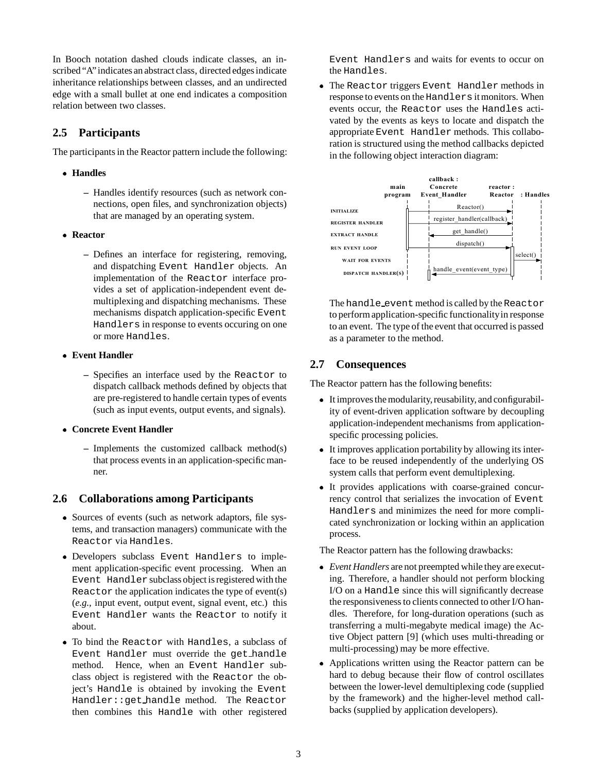In Booch notation dashed clouds indicate classes, an inscribed "A" indicates an abstract class, directed edges indicate inheritance relationships between classes, and an undirected edge with a small bullet at one end indicates a composition relation between two classes.

## **2.5 Participants**

The participants in the Reactor pattern include the following:

- **Handles**
	- **–** Handles identify resources (such as network connections, open files, and synchronization objects) that are managed by an operating system.
- **Reactor**
	- **–** Defines an interface for registering, removing, and dispatching Event Handler objects. An implementation of the Reactor interface provides a set of application-independent event demultiplexing and dispatching mechanisms. These mechanisms dispatch application-specific Event Handlers in response to events occuring on one or more Handles.
- **Event Handler**
	- **–** Specifies an interface used by the Reactor to dispatch callback methods defined by objects that are pre-registered to handle certain types of events (such as input events, output events, and signals).
- **Concrete Event Handler**
	- **–** Implements the customized callback method(s) that process events in an application-specific manner.

### **2.6 Collaborations among Participants**

- Sources of events (such as network adaptors, file systems, and transaction managers) communicate with the Reactor via Handles.
- Developers subclass Event Handlers to implement application-specific event processing. When an Event Handler subclass object is registered with the Reactor the application indicates the type of event(s) (*e.g.,* input event, output event, signal event, etc.) this Event Handler wants the Reactor to notify it about.
- To bind the Reactor with Handles, a subclass of Event Handler must override the get handle method. Hence, when an Event Handler subclass object is registered with the Reactor the object's Handle is obtained by invoking the Event Handler::get handle method. The Reactor then combines this Handle with other registered

Event Handlers and waits for events to occur on the Handles.

. The Reactor triggers Event Handler methods in response to events on the Handlers it monitors. When events occur, the Reactor uses the Handles activated by the events as keys to locate and dispatch the appropriate Event Handler methods. This collaboration is structured using the method callbacks depicted in the following object interaction diagram:



The handle event method is called by the Reactor to perform application-specific functionalityin response to an event. The type of the event that occurred is passed as a parameter to the method.

## **2.7 Consequences**

The Reactor pattern has the following benefits:

- It improves the modularity,reusability, and configurability of event-driven application software by decoupling application-independent mechanisms from applicationspecific processing policies.
- It improves application portability by allowing its interface to be reused independently of the underlying OS system calls that perform event demultiplexing.
- It provides applications with coarse-grained concurrency control that serializes the invocation of Event Handlers and minimizes the need for more complicated synchronization or locking within an application process.

The Reactor pattern has the following drawbacks:

- *Event Handlers* are not preempted while they are executing. Therefore, a handler should not perform blocking I/O on a Handle since this will significantly decrease the responsiveness to clients connected to other I/O handles. Therefore, for long-duration operations (such as transferring a multi-megabyte medical image) the Active Object pattern [9] (which uses multi-threading or multi-processing) may be more effective.
- Applications written using the Reactor pattern can be hard to debug because their flow of control oscillates between the lower-level demultiplexing code (supplied by the framework) and the higher-level method callbacks (supplied by application developers).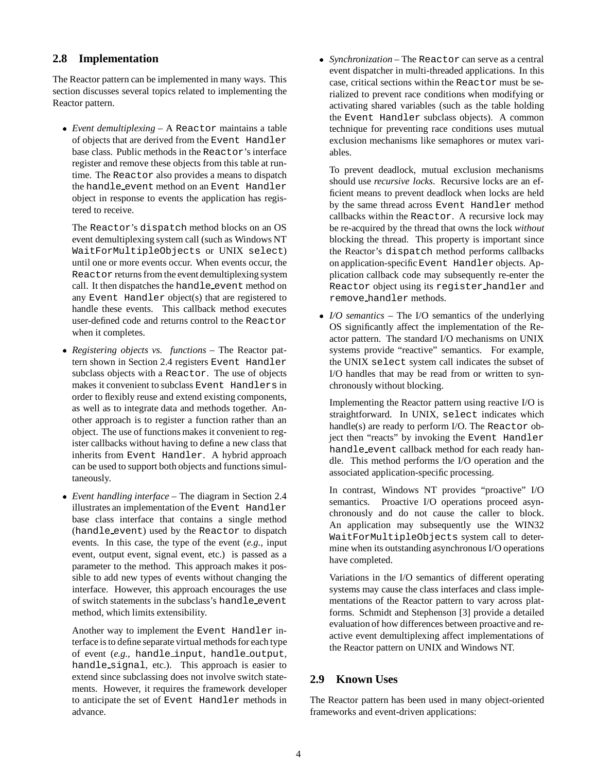#### **2.8 Implementation**

The Reactor pattern can be implemented in many ways. This section discusses several topics related to implementing the Reactor pattern.

 *Event demultiplexing* – A Reactor maintains a table of objects that are derived from the Event Handler base class. Public methods in the Reactor's interface register and remove these objects from this table at runtime. The Reactor also provides a means to dispatch the handle event method on an Event Handler object in response to events the application has registered to receive.

The Reactor's dispatch method blocks on an OS event demultiplexing system call (such as Windows NT WaitForMultipleObjects or UNIX select) until one or more events occur. When events occur, the Reactor returns from the event demultiplexing system call. It then dispatches the handle event method on any Event Handler object(s) that are registered to handle these events. This callback method executes user-defined code and returns control to the Reactor when it completes.

- *Registering objects vs. functions* The Reactor pattern shown in Section 2.4 registers Event Handler subclass objects with a Reactor. The use of objects makes it convenient to subclass Event Handlers in order to flexibly reuse and extend existing components, as well as to integrate data and methods together. Another approach is to register a function rather than an object. The use of functions makes it convenient to register callbacks without having to define a new class that inherits from Event Handler. A hybrid approach can be used to support both objects and functions simultaneously.
- *Event handling interface* The diagram in Section 2.4 illustrates an implementation of the Event Handler base class interface that contains a single method (handle event) used by the Reactor to dispatch events. In this case, the type of the event (*e.g.,* input event, output event, signal event, etc.) is passed as a parameter to the method. This approach makes it possible to add new types of events without changing the interface. However, this approach encourages the use of switch statements in the subclass's handle event method, which limits extensibility.

Another way to implement the Event Handler interface is to define separate virtual methods for each type of event (*e.g.,* handle input, handle output, handle signal, etc.). This approach is easier to extend since subclassing does not involve switch statements. However, it requires the framework developer to anticipate the set of Event Handler methods in advance.

 *Synchronization* – The Reactor can serve as a central event dispatcher in multi-threaded applications. In this case, critical sections within the Reactor must be serialized to prevent race conditions when modifying or activating shared variables (such as the table holding the Event Handler subclass objects). A common technique for preventing race conditions uses mutual exclusion mechanisms like semaphores or mutex variables.

To prevent deadlock, mutual exclusion mechanisms should use *recursive locks*. Recursive locks are an efficient means to prevent deadlock when locks are held by the same thread across Event Handler method callbacks within the Reactor. A recursive lock may be re-acquired by the thread that owns the lock *without* blocking the thread. This property is important since the Reactor's dispatch method performs callbacks on application-specific Event Handler objects. Application callback code may subsequently re-enter the Reactor object using its register handler and remove handler methods.

 *I/O semantics* – The I/O semantics of the underlying OS significantly affect the implementation of the Reactor pattern. The standard I/O mechanisms on UNIX systems provide "reactive" semantics. For example, the UNIX select system call indicates the subset of I/O handles that may be read from or written to synchronously without blocking.

Implementing the Reactor pattern using reactive I/O is straightforward. In UNIX, select indicates which handle(s) are ready to perform I/O. The Reactor object then "reacts" by invoking the Event Handler handle event callback method for each ready handle. This method performs the I/O operation and the associated application-specific processing.

In contrast, Windows NT provides "proactive" I/O semantics. Proactive I/O operations proceed asynchronously and do not cause the caller to block. An application may subsequently use the WIN32 WaitForMultipleObjects system call to determine when its outstanding asynchronous I/O operations have completed.

Variations in the I/O semantics of different operating systems may cause the class interfaces and class implementations of the Reactor pattern to vary across platforms. Schmidt and Stephenson [3] provide a detailed evaluation of how differences between proactive and reactive event demultiplexing affect implementations of the Reactor pattern on UNIX and Windows NT.

#### **2.9 Known Uses**

The Reactor pattern has been used in many object-oriented frameworks and event-driven applications: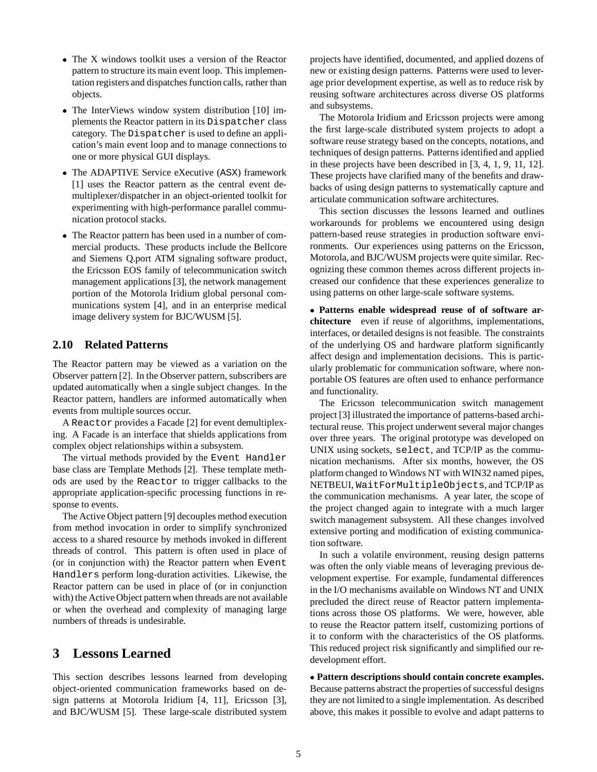- The X windows toolkit uses a version of the Reactor pattern to structure its main event loop. This implementation registers and dispatches function calls, rather than objects.
- The InterViews window system distribution [10] implements the Reactor pattern in its Dispatcher class category. The Dispatcher is used to define an application's main event loop and to manage connections to one or more physical GUI displays.
- The ADAPTIVE Service eXecutive (ASX) framework [1] uses the Reactor pattern as the central event demultiplexer/dispatcher in an object-oriented toolkit for experimenting with high-performance parallel communication protocol stacks.
- The Reactor pattern has been used in a number of commercial products. These products include the Bellcore and Siemens Q.port ATM signaling software product, the Ericsson EOS family of telecommunication switch management applications [3], the network management portion of the Motorola Iridium global personal communications system [4], and in an enterprise medical image delivery system for BJC/WUSM [5].

#### **2.10 Related Patterns**

The Reactor pattern may be viewed as a variation on the Observer pattern [2]. In the Observer pattern, subscribers are updated automatically when a single subject changes. In the Reactor pattern, handlers are informed automatically when events from multiple sources occur.

A Reactor provides a Facade [2] for event demultiplexing. A Facade is an interface that shields applications from complex object relationships within a subsystem.

The virtual methods provided by the Event Handler base class are Template Methods [2]. These template methods are used by the Reactor to trigger callbacks to the appropriate application-specific processing functions in response to events.

The Active Object pattern [9] decouples method execution from method invocation in order to simplify synchronized access to a shared resource by methods invoked in different threads of control. This pattern is often used in place of (or in conjunction with) the Reactor pattern when Event Handlers perform long-duration activities. Likewise, the Reactor pattern can be used in place of (or in conjunction with) the Active Object pattern when threads are not available or when the overhead and complexity of managing large numbers of threads is undesirable.

# **3 Lessons Learned**

This section describes lessons learned from developing object-oriented communication frameworks based on design patterns at Motorola Iridium [4, 11], Ericsson [3], and BJC/WUSM [5]. These large-scale distributed system projects have identified, documented, and applied dozens of new or existing design patterns. Patterns were used to leverage prior development expertise, as well as to reduce risk by reusing software architectures across diverse OS platforms and subsystems.

The Motorola Iridium and Ericsson projects were among the first large-scale distributed system projects to adopt a software reuse strategy based on the concepts, notations, and techniques of design patterns. Patterns identified and applied in these projects have been described in [3, 4, 1, 9, 11, 12]. These projects have clarified many of the benefits and drawbacks of using design patterns to systematically capture and articulate communication software architectures.

This section discusses the lessons learned and outlines workarounds for problems we encountered using design pattern-based reuse strategies in production software environments. Our experiences using patterns on the Ericsson, Motorola, and BJC/WUSM projects were quite similar. Recognizing these common themes across different projects increased our confidence that these experiences generalize to using patterns on other large-scale software systems.

 **Patterns enable widespread reuse of of software architecture** even if reuse of algorithms, implementations, interfaces, or detailed designs is not feasible. The constraints of the underlying OS and hardware platform significantly affect design and implementation decisions. This is particularly problematic for communication software, where nonportable OS features are often used to enhance performance and functionality.

The Ericsson telecommunication switch management project [3] illustrated the importance of patterns-based architectural reuse. This project underwent several major changes over three years. The original prototype was developed on UNIX using sockets, select, and TCP/IP as the communication mechanisms. After six months, however, the OS platform changed to Windows NT with WIN32 named pipes, NETBEUI, WaitForMultipleObjects, and TCP/IP as the communication mechanisms. A year later, the scope of the project changed again to integrate with a much larger switch management subsystem. All these changes involved extensive porting and modification of existing communication software.

In such a volatile environment, reusing design patterns was often the only viable means of leveraging previous development expertise. For example, fundamental differences in the I/O mechanisms available on Windows NT and UNIX precluded the direct reuse of Reactor pattern implementations across those OS platforms. We were, however, able to reuse the Reactor pattern itself, customizing portions of it to conform with the characteristics of the OS platforms. This reduced project risk significantly and simplified our redevelopment effort.

 **Pattern descriptions should contain concrete examples.** Because patterns abstract the properties of successful designs they are not limited to a single implementation. As described above, this makes it possible to evolve and adapt patterns to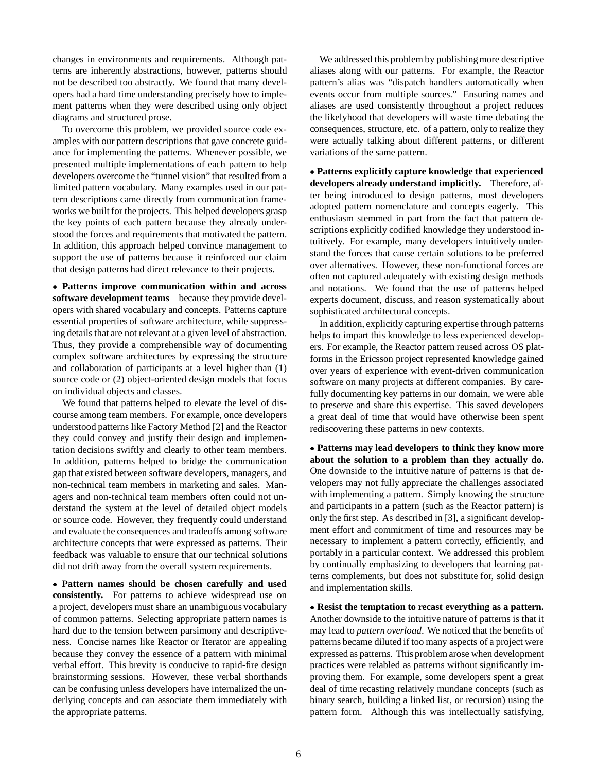changes in environments and requirements. Although patterns are inherently abstractions, however, patterns should not be described too abstractly. We found that many developers had a hard time understanding precisely how to implement patterns when they were described using only object diagrams and structured prose.

To overcome this problem, we provided source code examples with our pattern descriptions that gave concrete guidance for implementing the patterns. Whenever possible, we presented multiple implementations of each pattern to help developers overcome the "tunnel vision" that resulted from a limited pattern vocabulary. Many examples used in our pattern descriptions came directly from communication frameworks we built for the projects. This helped developers grasp the key points of each pattern because they already understood the forces and requirements that motivated the pattern. In addition, this approach helped convince management to support the use of patterns because it reinforced our claim that design patterns had direct relevance to their projects.

 **Patterns improve communication within and across software development teams** because they provide developers with shared vocabulary and concepts. Patterns capture essential properties of software architecture, while suppressing details that are not relevant at a given level of abstraction. Thus, they provide a comprehensible way of documenting complex software architectures by expressing the structure and collaboration of participants at a level higher than (1) source code or (2) object-oriented design models that focus on individual objects and classes.

We found that patterns helped to elevate the level of discourse among team members. For example, once developers understood patterns like Factory Method [2] and the Reactor they could convey and justify their design and implementation decisions swiftly and clearly to other team members. In addition, patterns helped to bridge the communication gap that existed between software developers, managers, and non-technical team members in marketing and sales. Managers and non-technical team members often could not understand the system at the level of detailed object models or source code. However, they frequently could understand and evaluate the consequences and tradeoffs among software architecture concepts that were expressed as patterns. Their feedback was valuable to ensure that our technical solutions did not drift away from the overall system requirements.

 **Pattern names should be chosen carefully and used consistently.** For patterns to achieve widespread use on a project, developers must share an unambiguous vocabulary of common patterns. Selecting appropriate pattern names is hard due to the tension between parsimony and descriptiveness. Concise names like Reactor or Iterator are appealing because they convey the essence of a pattern with minimal verbal effort. This brevity is conducive to rapid-fire design brainstorming sessions. However, these verbal shorthands can be confusing unless developers have internalized the underlying concepts and can associate them immediately with the appropriate patterns.

We addressed this problem by publishing more descriptive aliases along with our patterns. For example, the Reactor pattern's alias was "dispatch handlers automatically when events occur from multiple sources." Ensuring names and aliases are used consistently throughout a project reduces the likelyhood that developers will waste time debating the consequences, structure, etc. of a pattern, only to realize they were actually talking about different patterns, or different variations of the same pattern.

 **Patterns explicitly capture knowledge that experienced developers already understand implicitly.** Therefore, after being introduced to design patterns, most developers adopted pattern nomenclature and concepts eagerly. This enthusiasm stemmed in part from the fact that pattern descriptions explicitly codified knowledge they understood intuitively. For example, many developers intuitively understand the forces that cause certain solutions to be preferred over alternatives. However, these non-functional forces are often not captured adequately with existing design methods and notations. We found that the use of patterns helped experts document, discuss, and reason systematically about sophisticated architectural concepts.

In addition, explicitly capturing expertise through patterns helps to impart this knowledge to less experienced developers. For example, the Reactor pattern reused across OS platforms in the Ericsson project represented knowledge gained over years of experience with event-driven communication software on many projects at different companies. By carefully documenting key patterns in our domain, we were able to preserve and share this expertise. This saved developers a great deal of time that would have otherwise been spent rediscovering these patterns in new contexts.

 **Patterns may lead developers to think they know more about the solution to a problem than they actually do.** One downside to the intuitive nature of patterns is that developers may not fully appreciate the challenges associated with implementing a pattern. Simply knowing the structure and participants in a pattern (such as the Reactor pattern) is only the first step. As described in [3], a significant development effort and commitment of time and resources may be necessary to implement a pattern correctly, efficiently, and portably in a particular context. We addressed this problem by continually emphasizing to developers that learning patterns complements, but does not substitute for, solid design and implementation skills.

 **Resist the temptation to recast everything as a pattern.** Another downside to the intuitive nature of patterns is that it may lead to *pattern overload*. We noticed that the benefits of patterns became diluted if too many aspects of a project were expressed as patterns. This problem arose when development practices were relabled as patterns without significantly improving them. For example, some developers spent a great deal of time recasting relatively mundane concepts (such as binary search, building a linked list, or recursion) using the pattern form. Although this was intellectually satisfying,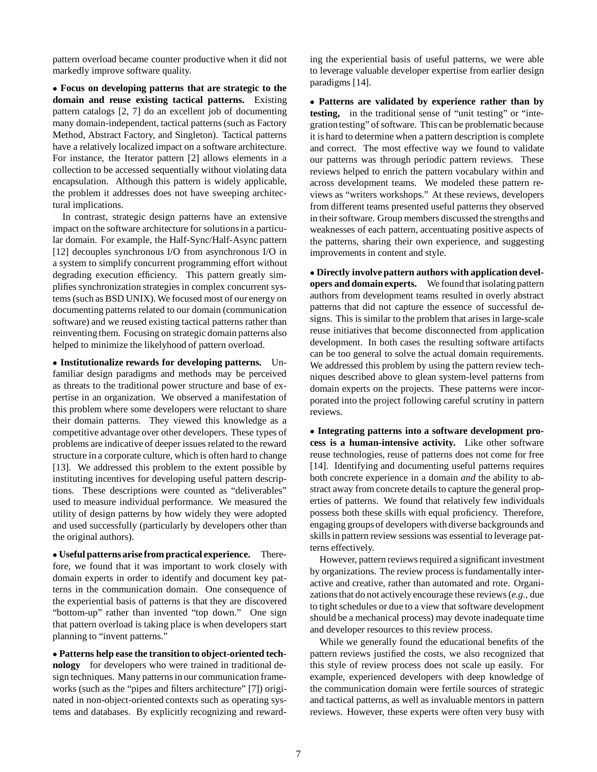pattern overload became counter productive when it did not markedly improve software quality.

 **Focus on developing patterns that are strategic to the domain and reuse existing tactical patterns.** Existing pattern catalogs [2, 7] do an excellent job of documenting many domain-independent, tactical patterns (such as Factory Method, Abstract Factory, and Singleton). Tactical patterns have a relatively localized impact on a software architecture. For instance, the Iterator pattern [2] allows elements in a collection to be accessed sequentially without violating data encapsulation. Although this pattern is widely applicable, the problem it addresses does not have sweeping architectural implications.

In contrast, strategic design patterns have an extensive impact on the software architecture for solutions in a particular domain. For example, the Half-Sync/Half-Async pattern [12] decouples synchronous I/O from asynchronous I/O in a system to simplify concurrent programming effort without degrading execution efficiency. This pattern greatly simplifies synchronization strategies in complex concurrent systems (such as BSD UNIX). We focused most of our energy on documenting patterns related to our domain (communication software) and we reused existing tactical patterns rather than reinventing them. Focusing on strategic domain patterns also helped to minimize the likelyhood of pattern overload.

 **Institutionalize rewards for developing patterns.** Unfamiliar design paradigms and methods may be perceived as threats to the traditional power structure and base of expertise in an organization. We observed a manifestation of this problem where some developers were reluctant to share their domain patterns. They viewed this knowledge as a competitive advantage over other developers. These types of problems are indicative of deeper issues related to the reward structure in a corporate culture, which is often hard to change [13]. We addressed this problem to the extent possible by instituting incentives for developing useful pattern descriptions. These descriptions were counted as "deliverables" used to measure individual performance. We measured the utility of design patterns by how widely they were adopted and used successfully (particularly by developers other than the original authors).

 **Useful patterns arise from practical experience.** Therefore, we found that it was important to work closely with domain experts in order to identify and document key patterns in the communication domain. One consequence of the experiential basis of patterns is that they are discovered "bottom-up" rather than invented "top down." One sign that pattern overload is taking place is when developers start planning to "invent patterns."

 **Patterns help ease the transition to object-oriented technology** for developers who were trained in traditional design techniques. Many patterns in our communication frameworks (such as the "pipes and filters architecture" [7]) originated in non-object-oriented contexts such as operating systems and databases. By explicitly recognizing and rewarding the experiential basis of useful patterns, we were able to leverage valuable developer expertise from earlier design paradigms [14].

 **Patterns are validated by experience rather than by testing,** in the traditional sense of "unit testing" or "integration testing" of software. This can be problematic because it is hard to determine when a pattern description is complete and correct. The most effective way we found to validate our patterns was through periodic pattern reviews. These reviews helped to enrich the pattern vocabulary within and across development teams. We modeled these pattern reviews as "writers workshops." At these reviews, developers from different teams presented useful patterns they observed in their software. Group members discussed the strengths and weaknesses of each pattern, accentuating positive aspects of the patterns, sharing their own experience, and suggesting improvements in content and style.

 **Directly involve pattern authors with application developers and domain experts.** We found that isolatingpattern authors from development teams resulted in overly abstract patterns that did not capture the essence of successful designs. This is similar to the problem that arises in large-scale reuse initiatives that become disconnected from application development. In both cases the resulting software artifacts can be too general to solve the actual domain requirements. We addressed this problem by using the pattern review techniques described above to glean system-level patterns from domain experts on the projects. These patterns were incorporated into the project following careful scrutiny in pattern reviews.

 **Integrating patterns into a software development process is a human-intensive activity.** Like other software reuse technologies, reuse of patterns does not come for free [14]. Identifying and documenting useful patterns requires both concrete experience in a domain *and* the ability to abstract away from concrete details to capture the general properties of patterns. We found that relatively few individuals possess both these skills with equal proficiency. Therefore, engaging groups of developers with diverse backgrounds and skills in pattern review sessions was essential to leverage patterns effectively.

However, pattern reviews required a significant investment by organizations. The review process is fundamentally interactive and creative, rather than automated and rote. Organizations that do not actively encourage these reviews (*e.g.,* due to tight schedules or due to a view that software development should be a mechanical process) may devote inadequate time and developer resources to this review process.

While we generally found the educational benefits of the pattern reviews justified the costs, we also recognized that this style of review process does not scale up easily. For example, experienced developers with deep knowledge of the communication domain were fertile sources of strategic and tactical patterns, as well as invaluable mentors in pattern reviews. However, these experts were often very busy with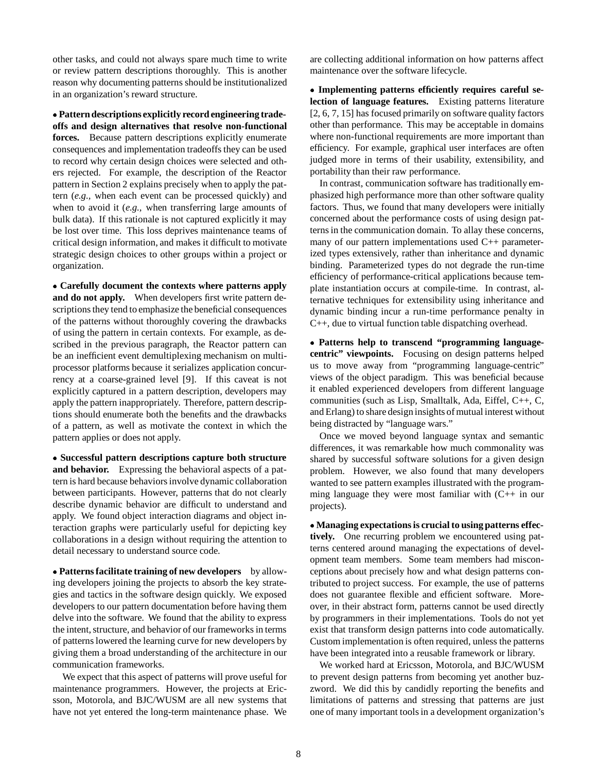other tasks, and could not always spare much time to write or review pattern descriptions thoroughly. This is another reason why documenting patterns should be institutionalized in an organization's reward structure.

 **Pattern descriptions explicitly record engineering tradeoffs and design alternatives that resolve non-functional forces.** Because pattern descriptions explicitly enumerate consequences and implementation tradeoffs they can be used to record why certain design choices were selected and others rejected. For example, the description of the Reactor pattern in Section 2 explains precisely when to apply the pattern (*e.g.,* when each event can be processed quickly) and when to avoid it (*e.g.,* when transferring large amounts of bulk data). If this rationale is not captured explicitly it may be lost over time. This loss deprives maintenance teams of critical design information, and makes it difficult to motivate strategic design choices to other groups within a project or organization.

 **Carefully document the contexts where patterns apply and do not apply.** When developers first write pattern descriptions they tend to emphasize the beneficial consequences of the patterns without thoroughly covering the drawbacks of using the pattern in certain contexts. For example, as described in the previous paragraph, the Reactor pattern can be an inefficient event demultiplexing mechanism on multiprocessor platforms because it serializes application concurrency at a coarse-grained level [9]. If this caveat is not explicitly captured in a pattern description, developers may apply the pattern inappropriately. Therefore, pattern descriptions should enumerate both the benefits and the drawbacks of a pattern, as well as motivate the context in which the pattern applies or does not apply.

 **Successful pattern descriptions capture both structure and behavior.** Expressing the behavioral aspects of a pattern is hard because behaviors involve dynamic collaboration between participants. However, patterns that do not clearly describe dynamic behavior are difficult to understand and apply. We found object interaction diagrams and object interaction graphs were particularly useful for depicting key collaborations in a design without requiring the attention to detail necessary to understand source code.

 **Patterns facilitate training of new developers** by allowing developers joining the projects to absorb the key strategies and tactics in the software design quickly. We exposed developers to our pattern documentation before having them delve into the software. We found that the ability to express the intent, structure, and behavior of our frameworks in terms of patterns lowered the learning curve for new developers by giving them a broad understanding of the architecture in our communication frameworks.

We expect that this aspect of patterns will prove useful for maintenance programmers. However, the projects at Ericsson, Motorola, and BJC/WUSM are all new systems that have not yet entered the long-term maintenance phase. We

are collecting additional information on how patterns affect maintenance over the software lifecycle.

 **Implementing patterns efficiently requires careful selection of language features.** Existing patterns literature [2, 6, 7, 15] has focused primarily on software quality factors other than performance. This may be acceptable in domains where non-functional requirements are more important than efficiency. For example, graphical user interfaces are often judged more in terms of their usability, extensibility, and portability than their raw performance.

In contrast, communication software has traditionally emphasized high performance more than other software quality factors. Thus, we found that many developers were initially concerned about the performance costs of using design patterns in the communication domain. To allay these concerns, many of our pattern implementations used C++ parameterized types extensively, rather than inheritance and dynamic binding. Parameterized types do not degrade the run-time efficiency of performance-critical applications because template instantiation occurs at compile-time. In contrast, alternative techniques for extensibility using inheritance and dynamic binding incur a run-time performance penalty in C++, due to virtual function table dispatching overhead.

 **Patterns help to transcend "programming languagecentric" viewpoints.** Focusing on design patterns helped us to move away from "programming language-centric" views of the object paradigm. This was beneficial because it enabled experienced developers from different language communities (such as Lisp, Smalltalk, Ada, Eiffel, C++, C, and Erlang) to share design insights of mutual interest without being distracted by "language wars."

Once we moved beyond language syntax and semantic differences, it was remarkable how much commonality was shared by successful software solutions for a given design problem. However, we also found that many developers wanted to see pattern examples illustrated with the programming language they were most familiar with (C++ in our projects).

 **Managing expectations is crucial to using patterns effectively.** One recurring problem we encountered using patterns centered around managing the expectations of development team members. Some team members had misconceptions about precisely how and what design patterns contributed to project success. For example, the use of patterns does not guarantee flexible and efficient software. Moreover, in their abstract form, patterns cannot be used directly by programmers in their implementations. Tools do not yet exist that transform design patterns into code automatically. Custom implementation is often required, unless the patterns have been integrated into a reusable framework or library.

We worked hard at Ericsson, Motorola, and BJC/WUSM to prevent design patterns from becoming yet another buzzword. We did this by candidly reporting the benefits and limitations of patterns and stressing that patterns are just one of many important tools in a development organization's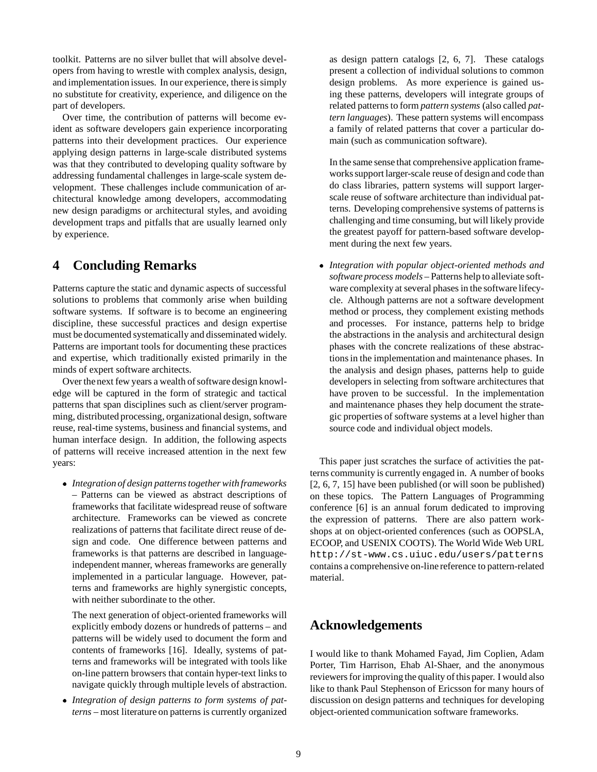toolkit. Patterns are no silver bullet that will absolve developers from having to wrestle with complex analysis, design, and implementation issues. In our experience, there is simply no substitute for creativity, experience, and diligence on the part of developers.

Over time, the contribution of patterns will become evident as software developers gain experience incorporating patterns into their development practices. Our experience applying design patterns in large-scale distributed systems was that they contributed to developing quality software by addressing fundamental challenges in large-scale system development. These challenges include communication of architectural knowledge among developers, accommodating new design paradigms or architectural styles, and avoiding development traps and pitfalls that are usually learned only by experience.

# **4 Concluding Remarks**

Patterns capture the static and dynamic aspects of successful solutions to problems that commonly arise when building software systems. If software is to become an engineering discipline, these successful practices and design expertise must be documented systematically and disseminated widely. Patterns are important tools for documenting these practices and expertise, which traditionally existed primarily in the minds of expert software architects.

Over the next few years a wealth of software design knowledge will be captured in the form of strategic and tactical patterns that span disciplines such as client/server programming, distributed processing, organizational design, software reuse, real-time systems, business and financial systems, and human interface design. In addition, the following aspects of patterns will receive increased attention in the next few years:

 *Integration of design patterns together with frameworks* – Patterns can be viewed as abstract descriptions of frameworks that facilitate widespread reuse of software architecture. Frameworks can be viewed as concrete realizations of patterns that facilitate direct reuse of design and code. One difference between patterns and frameworks is that patterns are described in languageindependent manner, whereas frameworks are generally implemented in a particular language. However, patterns and frameworks are highly synergistic concepts, with neither subordinate to the other.

The next generation of object-oriented frameworks will explicitly embody dozens or hundreds of patterns – and patterns will be widely used to document the form and contents of frameworks [16]. Ideally, systems of patterns and frameworks will be integrated with tools like on-line pattern browsers that contain hyper-text links to navigate quickly through multiple levels of abstraction.

 *Integration of design patterns to form systems of patterns* – most literature on patterns is currently organized as design pattern catalogs [2, 6, 7]. These catalogs present a collection of individual solutions to common design problems. As more experience is gained using these patterns, developers will integrate groups of related patterns to form *pattern systems* (also called *pattern languages*). These pattern systems will encompass a family of related patterns that cover a particular domain (such as communication software).

In the same sense that comprehensive application frameworks support larger-scale reuse of design and code than do class libraries, pattern systems will support largerscale reuse of software architecture than individual patterns. Developing comprehensive systems of patterns is challenging and time consuming, but will likely provide the greatest payoff for pattern-based software development during the next few years.

 *Integration with popular object-oriented methods and software process models* – Patterns help to alleviate software complexity at several phases in the software lifecycle. Although patterns are not a software development method or process, they complement existing methods and processes. For instance, patterns help to bridge the abstractions in the analysis and architectural design phases with the concrete realizations of these abstractions in the implementation and maintenance phases. In the analysis and design phases, patterns help to guide developers in selecting from software architectures that have proven to be successful. In the implementation and maintenance phases they help document the strategic properties of software systems at a level higher than source code and individual object models.

This paper just scratches the surface of activities the patterns community is currently engaged in. A number of books [2, 6, 7, 15] have been published (or will soon be published) on these topics. The Pattern Languages of Programming conference [6] is an annual forum dedicated to improving the expression of patterns. There are also pattern workshops at on object-oriented conferences (such as OOPSLA, ECOOP, and USENIX COOTS). The World Wide Web URL http://st-www.cs.uiuc.edu/users/patterns contains a comprehensive on-line reference to pattern-related material.

# **Acknowledgements**

I would like to thank Mohamed Fayad, Jim Coplien, Adam Porter, Tim Harrison, Ehab Al-Shaer, and the anonymous reviewers for improving the quality of this paper. I would also like to thank Paul Stephenson of Ericsson for many hours of discussion on design patterns and techniques for developing object-oriented communication software frameworks.